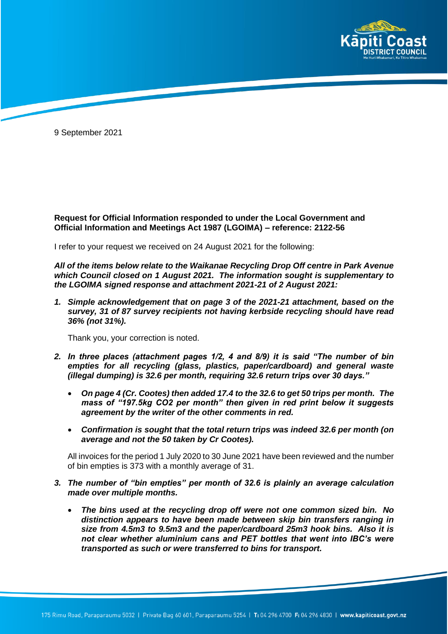

9 September 2021

**Request for Official Information responded to under the Local Government and Official Information and Meetings Act 1987 (LGOIMA) – reference: 2122-56**

I refer to your request we received on 24 August 2021 for the following:

*All of the items below relate to the Waikanae Recycling Drop Off centre in Park Avenue which Council closed on 1 August 2021. The information sought is supplementary to the LGOIMA signed response and attachment 2021-21 of 2 August 2021:* 

*1. Simple acknowledgement that on page 3 of the 2021-21 attachment, based on the survey, 31 of 87 survey recipients not having kerbside recycling should have read 36% (not 31%).*

Thank you, your correction is noted.

- *2. In three places (attachment pages 1/2, 4 and 8/9) it is said "The number of bin empties for all recycling (glass, plastics, paper/cardboard) and general waste (illegal dumping) is 32.6 per month, requiring 32.6 return trips over 30 days."*
	- *On page 4 (Cr. Cootes) then added 17.4 to the 32.6 to get 50 trips per month. The mass of "197.5kg CO2 per month" then given in red print below it suggests agreement by the writer of the other comments in red.*
	- *Confirmation is sought that the total return trips was indeed 32.6 per month (on average and not the 50 taken by Cr Cootes).*

All invoices for the period 1 July 2020 to 30 June 2021 have been reviewed and the number of bin empties is 373 with a monthly average of 31.

- *3. The number of "bin empties" per month of 32.6 is plainly an average calculation made over multiple months.*
	- *The bins used at the recycling drop off were not one common sized bin. No distinction appears to have been made between skip bin transfers ranging in size from 4.5m3 to 9.5m3 and the paper/cardboard 25m3 hook bins. Also it is not clear whether aluminium cans and PET bottles that went into IBC's were transported as such or were transferred to bins for transport.*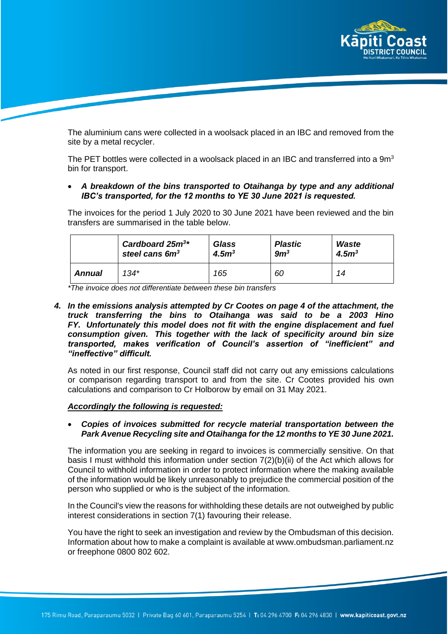

The aluminium cans were collected in a woolsack placed in an IBC and removed from the site by a metal recycler.

The PET bottles were collected in a woolsack placed in an IBC and transferred into a 9m<sup>3</sup> bin for transport.

## • *A breakdown of the bins transported to Otaihanga by type and any additional IBC's transported, for the 12 months to YE 30 June 2021 is requested.*

The invoices for the period 1 July 2020 to 30 June 2021 have been reviewed and the bin transfers are summarised in the table below.

|        | Cardboard $25m^{3*}$       | <b>Glass</b>     | <b>Plastic</b>  | <b>Waste</b>     |
|--------|----------------------------|------------------|-----------------|------------------|
|        | steel cans 6m <sup>3</sup> | 4.5 <sup>3</sup> | 9m <sup>3</sup> | 4.5 <sup>3</sup> |
| Annual | 134*                       | 165              | 60              | 14               |

*\*The invoice does not differentiate between these bin transfers*

*4. In the emissions analysis attempted by Cr Cootes on page 4 of the attachment, the truck transferring the bins to Otaihanga was said to be a 2003 Hino FY. Unfortunately this model does not fit with the engine displacement and fuel consumption given. This together with the lack of specificity around bin size transported, makes verification of Council's assertion of "inefficient" and "ineffective" difficult.*

As noted in our first response, Council staff did not carry out any emissions calculations or comparison regarding transport to and from the site. Cr Cootes provided his own calculations and comparison to Cr Holborow by email on 31 May 2021.

## *Accordingly the following is requested:*

• *Copies of invoices submitted for recycle material transportation between the Park Avenue Recycling site and Otaihanga for the 12 months to YE 30 June 2021.*

The information you are seeking in regard to invoices is commercially sensitive. On that basis I must withhold this information under section 7(2)(b)(ii) of the Act which allows for Council to withhold information in order to protect information where the making available of the information would be likely unreasonably to prejudice the commercial position of the person who supplied or who is the subject of the information.

In the Council's view the reasons for withholding these details are not outweighed by public interest considerations in section 7(1) favouring their release.

You have the right to seek an investigation and review by the Ombudsman of this decision. Information about how to make a complaint is available at www.ombudsman.parliament.nz or freephone 0800 802 602.